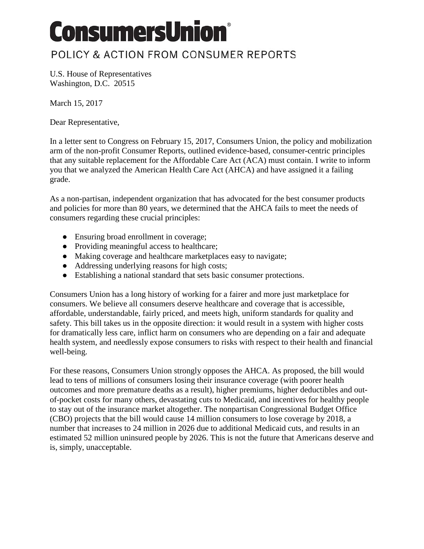## **ConsumersUnion®**

## POLICY & ACTION FROM CONSUMER REPORTS

U.S. House of Representatives Washington, D.C. 20515

March 15, 2017

Dear Representative,

In a letter sent to Congress on February 15, 2017, Consumers Union, the policy and mobilization arm of the non-profit Consumer Reports, outlined evidence-based, consumer-centric principles that any suitable replacement for the Affordable Care Act (ACA) must contain. I write to inform you that we analyzed the American Health Care Act (AHCA) and have assigned it a failing grade.

As a non-partisan, independent organization that has advocated for the best consumer products and policies for more than 80 years, we determined that the AHCA fails to meet the needs of consumers regarding these crucial principles:

- Ensuring broad enrollment in coverage;
- Providing meaningful access to healthcare;
- Making coverage and healthcare marketplaces easy to navigate;
- Addressing underlying reasons for high costs;
- Establishing a national standard that sets basic consumer protections.

Consumers Union has a long history of working for a fairer and more just marketplace for consumers. We believe all consumers deserve healthcare and coverage that is accessible, affordable, understandable, fairly priced, and meets high, uniform standards for quality and safety. This bill takes us in the opposite direction: it would result in a system with higher costs for dramatically less care, inflict harm on consumers who are depending on a fair and adequate health system, and needlessly expose consumers to risks with respect to their health and financial well-being.

For these reasons, Consumers Union strongly opposes the AHCA. As proposed, the bill would lead to tens of millions of consumers losing their insurance coverage (with poorer health outcomes and more premature deaths as a result), higher premiums, higher deductibles and outof-pocket costs for many others, devastating cuts to Medicaid, and incentives for healthy people to stay out of the insurance market altogether. The nonpartisan Congressional Budget Office (CBO) projects that the bill would cause 14 million consumers to lose coverage by 2018, a number that increases to 24 million in 2026 due to additional Medicaid cuts, and results in an estimated 52 million uninsured people by 2026. This is not the future that Americans deserve and is, simply, unacceptable.